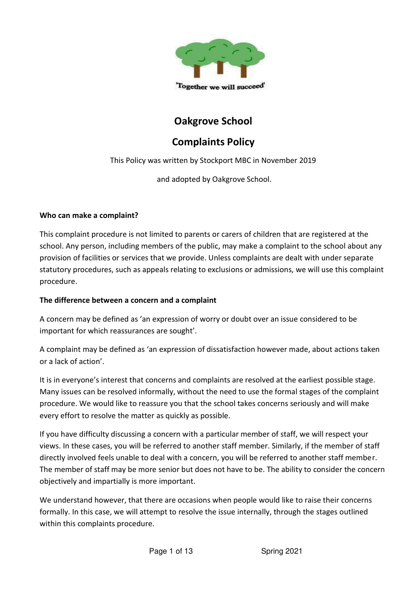

# **Oakgrove School**

# **Complaints Policy**

This Policy was written by Stockport MBC in November 2019

and adopted by Oakgrove School.

#### **Who can make a complaint?**

This complaint procedure is not limited to parents or carers of children that are registered at the school. Any person, including members of the public, may make a complaint to the school about any provision of facilities or services that we provide. Unless complaints are dealt with under separate statutory procedures, such as appeals relating to exclusions or admissions, we will use this complaint procedure.

#### **The difference between a concern and a complaint**

A concern may be defined as 'an expression of worry or doubt over an issue considered to be important for which reassurances are sought'.

A complaint may be defined as 'an expression of dissatisfaction however made, about actions taken or a lack of action'.

It is in everyone's interest that concerns and complaints are resolved at the earliest possible stage. Many issues can be resolved informally, without the need to use the formal stages of the complaint procedure. We would like to reassure you that the school takes concerns seriously and will make every effort to resolve the matter as quickly as possible.

If you have difficulty discussing a concern with a particular member of staff, we will respect your views. In these cases, you will be referred to another staff member. Similarly, if the member of staff directly involved feels unable to deal with a concern, you will be referred to another staff member. The member of staff may be more senior but does not have to be. The ability to consider the concern objectively and impartially is more important.

We understand however, that there are occasions when people would like to raise their concerns formally. In this case, we will attempt to resolve the issue internally, through the stages outlined within this complaints procedure.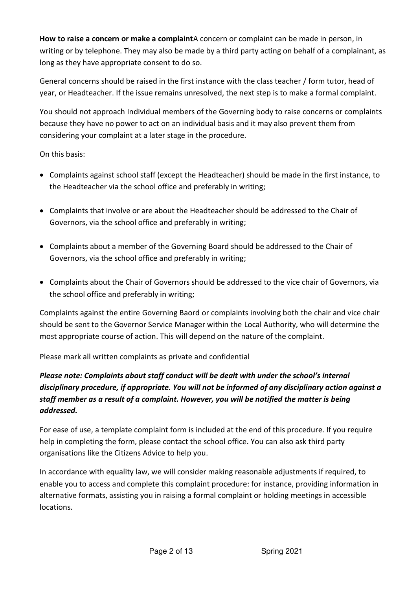**How to raise a concern or make a complaint**A concern or complaint can be made in person, in writing or by telephone. They may also be made by a third party acting on behalf of a complainant, as long as they have appropriate consent to do so.

General concerns should be raised in the first instance with the class teacher / form tutor, head of year, or Headteacher. If the issue remains unresolved, the next step is to make a formal complaint.

You should not approach Individual members of the Governing body to raise concerns or complaints because they have no power to act on an individual basis and it may also prevent them from considering your complaint at a later stage in the procedure.

On this basis:

- Complaints against school staff (except the Headteacher) should be made in the first instance, to the Headteacher via the school office and preferably in writing;
- Complaints that involve or are about the Headteacher should be addressed to the Chair of Governors, via the school office and preferably in writing;
- Complaints about a member of the Governing Board should be addressed to the Chair of Governors, via the school office and preferably in writing;
- Complaints about the Chair of Governors should be addressed to the vice chair of Governors, via the school office and preferably in writing;

Complaints against the entire Governing Baord or complaints involving both the chair and vice chair should be sent to the Governor Service Manager within the Local Authority, who will determine the most appropriate course of action. This will depend on the nature of the complaint.

Please mark all written complaints as private and confidential

# *Please note: Complaints about staff conduct will be dealt with under the school's internal disciplinary procedure, if appropriate. You will not be informed of any disciplinary action against a staff member as a result of a complaint. However, you will be notified the matter is being addressed.*

For ease of use, a template complaint form is included at the end of this procedure. If you require help in completing the form, please contact the school office. You can also ask third party organisations like the Citizens Advice to help you.

In accordance with equality law, we will consider making reasonable adjustments if required, to enable you to access and complete this complaint procedure: for instance, providing information in alternative formats, assisting you in raising a formal complaint or holding meetings in accessible locations.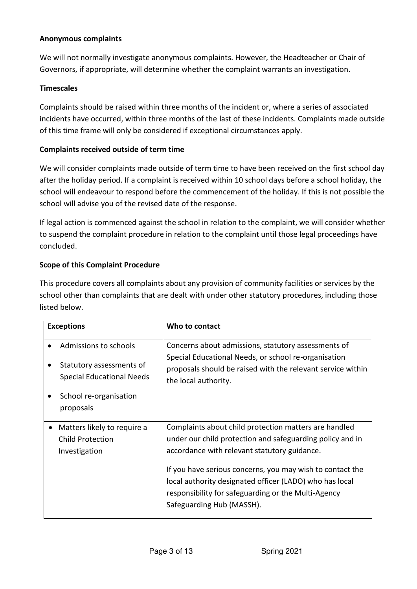#### **Anonymous complaints**

We will not normally investigate anonymous complaints. However, the Headteacher or Chair of Governors, if appropriate, will determine whether the complaint warrants an investigation.

#### **Timescales**

Complaints should be raised within three months of the incident or, where a series of associated incidents have occurred, within three months of the last of these incidents. Complaints made outside of this time frame will only be considered if exceptional circumstances apply.

#### **Complaints received outside of term time**

We will consider complaints made outside of term time to have been received on the first school day after the holiday period. If a complaint is received within 10 school days before a school holiday, the school will endeavour to respond before the commencement of the holiday. If this is not possible the school will advise you of the revised date of the response.

If legal action is commenced against the school in relation to the complaint, we will consider whether to suspend the complaint procedure in relation to the complaint until those legal proceedings have concluded.

#### **Scope of this Complaint Procedure**

This procedure covers all complaints about any provision of community facilities or services by the school other than complaints that are dealt with under other statutory procedures, including those listed below.

| <b>Exceptions</b>                                                                                                            | Who to contact                                                                                                                                                                                                                                                                                                                                                                 |
|------------------------------------------------------------------------------------------------------------------------------|--------------------------------------------------------------------------------------------------------------------------------------------------------------------------------------------------------------------------------------------------------------------------------------------------------------------------------------------------------------------------------|
| Admissions to schools<br>Statutory assessments of<br><b>Special Educational Needs</b><br>School re-organisation<br>proposals | Concerns about admissions, statutory assessments of<br>Special Educational Needs, or school re-organisation<br>proposals should be raised with the relevant service within<br>the local authority.                                                                                                                                                                             |
| Matters likely to require a<br><b>Child Protection</b><br>Investigation                                                      | Complaints about child protection matters are handled<br>under our child protection and safeguarding policy and in<br>accordance with relevant statutory guidance.<br>If you have serious concerns, you may wish to contact the<br>local authority designated officer (LADO) who has local<br>responsibility for safeguarding or the Multi-Agency<br>Safeguarding Hub (MASSH). |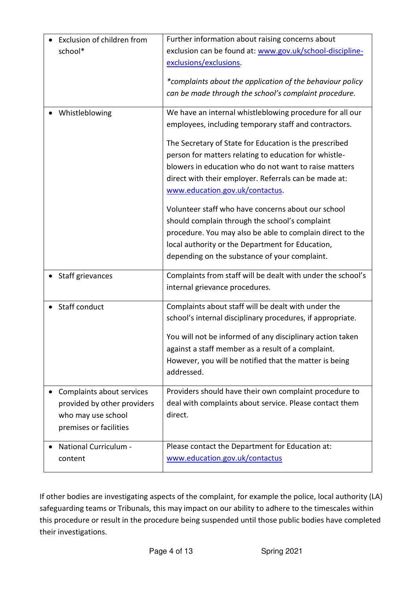| Exclusion of children from  | Further information about raising concerns about            |
|-----------------------------|-------------------------------------------------------------|
| school*                     | exclusion can be found at: www.gov.uk/school-discipline-    |
|                             | exclusions/exclusions.                                      |
|                             |                                                             |
|                             | *complaints about the application of the behaviour policy   |
|                             | can be made through the school's complaint procedure.       |
| Whistleblowing              | We have an internal whistleblowing procedure for all our    |
|                             | employees, including temporary staff and contractors.       |
|                             | The Secretary of State for Education is the prescribed      |
|                             |                                                             |
|                             | person for matters relating to education for whistle-       |
|                             | blowers in education who do not want to raise matters       |
|                             | direct with their employer. Referrals can be made at:       |
|                             | www.education.gov.uk/contactus.                             |
|                             | Volunteer staff who have concerns about our school          |
|                             | should complain through the school's complaint              |
|                             | procedure. You may also be able to complain direct to the   |
|                             | local authority or the Department for Education,            |
|                             | depending on the substance of your complaint.               |
|                             |                                                             |
| Staff grievances            | Complaints from staff will be dealt with under the school's |
|                             | internal grievance procedures.                              |
|                             |                                                             |
| Staff conduct               | Complaints about staff will be dealt with under the         |
|                             | school's internal disciplinary procedures, if appropriate.  |
|                             | You will not be informed of any disciplinary action taken   |
|                             | against a staff member as a result of a complaint.          |
|                             | However, you will be notified that the matter is being      |
|                             | addressed.                                                  |
|                             |                                                             |
| Complaints about services   | Providers should have their own complaint procedure to      |
| provided by other providers | deal with complaints about service. Please contact them     |
| who may use school          | direct.                                                     |
| premises or facilities      |                                                             |
|                             |                                                             |
| National Curriculum -       | Please contact the Department for Education at:             |
| content                     | www.education.gov.uk/contactus                              |
|                             |                                                             |

If other bodies are investigating aspects of the complaint, for example the police, local authority (LA) safeguarding teams or Tribunals, this may impact on our ability to adhere to the timescales within this procedure or result in the procedure being suspended until those public bodies have completed their investigations.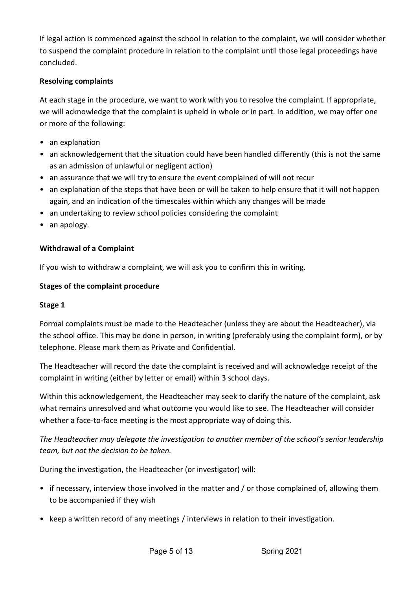If legal action is commenced against the school in relation to the complaint, we will consider whether to suspend the complaint procedure in relation to the complaint until those legal proceedings have concluded.

### **Resolving complaints**

At each stage in the procedure, we want to work with you to resolve the complaint. If appropriate, we will acknowledge that the complaint is upheld in whole or in part. In addition, we may offer one or more of the following:

- an explanation
- an acknowledgement that the situation could have been handled differently (this is not the same as an admission of unlawful or negligent action)
- an assurance that we will try to ensure the event complained of will not recur
- an explanation of the steps that have been or will be taken to help ensure that it will not happen again, and an indication of the timescales within which any changes will be made
- an undertaking to review school policies considering the complaint
- an apology.

## **Withdrawal of a Complaint**

If you wish to withdraw a complaint, we will ask you to confirm this in writing.

#### **Stages of the complaint procedure**

#### **Stage 1**

Formal complaints must be made to the Headteacher (unless they are about the Headteacher), via the school office. This may be done in person, in writing (preferably using the complaint form), or by telephone. Please mark them as Private and Confidential.

The Headteacher will record the date the complaint is received and will acknowledge receipt of the complaint in writing (either by letter or email) within 3 school days.

Within this acknowledgement, the Headteacher may seek to clarify the nature of the complaint, ask what remains unresolved and what outcome you would like to see. The Headteacher will consider whether a face-to-face meeting is the most appropriate way of doing this.

*The Headteacher may delegate the investigation to another member of the school's senior leadership team, but not the decision to be taken.* 

During the investigation, the Headteacher (or investigator) will:

- if necessary, interview those involved in the matter and / or those complained of, allowing them to be accompanied if they wish
- keep a written record of any meetings / interviews in relation to their investigation.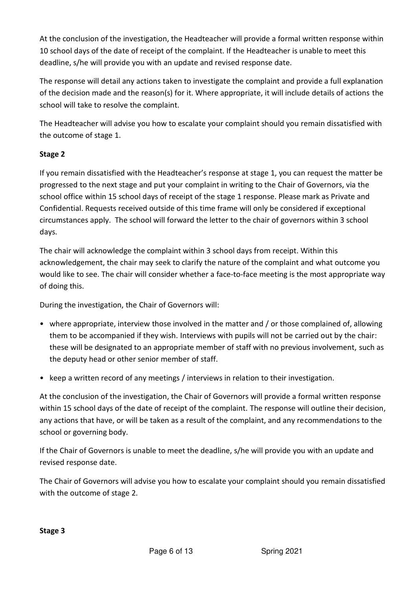At the conclusion of the investigation, the Headteacher will provide a formal written response within 10 school days of the date of receipt of the complaint. If the Headteacher is unable to meet this deadline, s/he will provide you with an update and revised response date.

The response will detail any actions taken to investigate the complaint and provide a full explanation of the decision made and the reason(s) for it. Where appropriate, it will include details of actions the school will take to resolve the complaint.

The Headteacher will advise you how to escalate your complaint should you remain dissatisfied with the outcome of stage 1.

# **Stage 2**

If you remain dissatisfied with the Headteacher's response at stage 1, you can request the matter be progressed to the next stage and put your complaint in writing to the Chair of Governors, via the school office within 15 school days of receipt of the stage 1 response. Please mark as Private and Confidential. Requests received outside of this time frame will only be considered if exceptional circumstances apply. The school will forward the letter to the chair of governors within 3 school days.

The chair will acknowledge the complaint within 3 school days from receipt. Within this acknowledgement, the chair may seek to clarify the nature of the complaint and what outcome you would like to see. The chair will consider whether a face-to-face meeting is the most appropriate way of doing this.

During the investigation, the Chair of Governors will:

- where appropriate, interview those involved in the matter and / or those complained of, allowing them to be accompanied if they wish. Interviews with pupils will not be carried out by the chair: these will be designated to an appropriate member of staff with no previous involvement, such as the deputy head or other senior member of staff.
- keep a written record of any meetings / interviews in relation to their investigation.

At the conclusion of the investigation, the Chair of Governors will provide a formal written response within 15 school days of the date of receipt of the complaint. The response will outline their decision, any actions that have, or will be taken as a result of the complaint, and any recommendations to the school or governing body.

If the Chair of Governors is unable to meet the deadline, s/he will provide you with an update and revised response date.

The Chair of Governors will advise you how to escalate your complaint should you remain dissatisfied with the outcome of stage 2.

#### **Stage 3**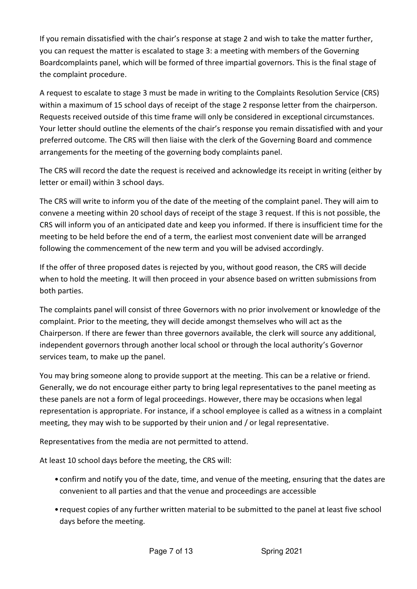If you remain dissatisfied with the chair's response at stage 2 and wish to take the matter further, you can request the matter is escalated to stage 3: a meeting with members of the Governing Boardcomplaints panel, which will be formed of three impartial governors. This is the final stage of the complaint procedure.

A request to escalate to stage 3 must be made in writing to the Complaints Resolution Service (CRS) within a maximum of 15 school days of receipt of the stage 2 response letter from the chairperson. Requests received outside of this time frame will only be considered in exceptional circumstances. Your letter should outline the elements of the chair's response you remain dissatisfied with and your preferred outcome. The CRS will then liaise with the clerk of the Governing Board and commence arrangements for the meeting of the governing body complaints panel.

The CRS will record the date the request is received and acknowledge its receipt in writing (either by letter or email) within 3 school days.

The CRS will write to inform you of the date of the meeting of the complaint panel. They will aim to convene a meeting within 20 school days of receipt of the stage 3 request. If this is not possible, the CRS will inform you of an anticipated date and keep you informed. If there is insufficient time for the meeting to be held before the end of a term, the earliest most convenient date will be arranged following the commencement of the new term and you will be advised accordingly.

If the offer of three proposed dates is rejected by you, without good reason, the CRS will decide when to hold the meeting. It will then proceed in your absence based on written submissions from both parties.

The complaints panel will consist of three Governors with no prior involvement or knowledge of the complaint. Prior to the meeting, they will decide amongst themselves who will act as the Chairperson. If there are fewer than three governors available, the clerk will source any additional, independent governors through another local school or through the local authority's Governor services team, to make up the panel.

You may bring someone along to provide support at the meeting. This can be a relative or friend. Generally, we do not encourage either party to bring legal representatives to the panel meeting as these panels are not a form of legal proceedings. However, there may be occasions when legal representation is appropriate. For instance, if a school employee is called as a witness in a complaint meeting, they may wish to be supported by their union and / or legal representative.

Representatives from the media are not permitted to attend.

At least 10 school days before the meeting, the CRS will:

- confirm and notify you of the date, time, and venue of the meeting, ensuring that the dates are convenient to all parties and that the venue and proceedings are accessible
- request copies of any further written material to be submitted to the panel at least five school days before the meeting.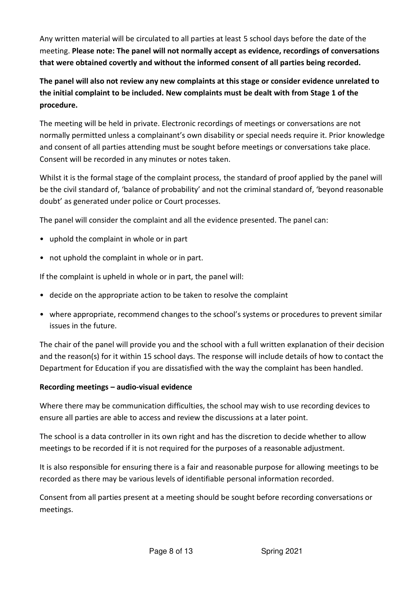Any written material will be circulated to all parties at least 5 school days before the date of the meeting. **Please note: The panel will not normally accept as evidence, recordings of conversations that were obtained covertly and without the informed consent of all parties being recorded.** 

**The panel will also not review any new complaints at this stage or consider evidence unrelated to the initial complaint to be included. New complaints must be dealt with from Stage 1 of the procedure.** 

The meeting will be held in private. Electronic recordings of meetings or conversations are not normally permitted unless a complainant's own disability or special needs require it. Prior knowledge and consent of all parties attending must be sought before meetings or conversations take place. Consent will be recorded in any minutes or notes taken.

Whilst it is the formal stage of the complaint process, the standard of proof applied by the panel will be the civil standard of, 'balance of probability' and not the criminal standard of, 'beyond reasonable doubt' as generated under police or Court processes.

The panel will consider the complaint and all the evidence presented. The panel can:

- uphold the complaint in whole or in part
- not uphold the complaint in whole or in part.

If the complaint is upheld in whole or in part, the panel will:

- decide on the appropriate action to be taken to resolve the complaint
- where appropriate, recommend changes to the school's systems or procedures to prevent similar issues in the future.

The chair of the panel will provide you and the school with a full written explanation of their decision and the reason(s) for it within 15 school days. The response will include details of how to contact the Department for Education if you are dissatisfied with the way the complaint has been handled.

#### **Recording meetings – audio-visual evidence**

Where there may be communication difficulties, the school may wish to use recording devices to ensure all parties are able to access and review the discussions at a later point.

The school is a data controller in its own right and has the discretion to decide whether to allow meetings to be recorded if it is not required for the purposes of a reasonable adjustment.

It is also responsible for ensuring there is a fair and reasonable purpose for allowing meetings to be recorded as there may be various levels of identifiable personal information recorded.

Consent from all parties present at a meeting should be sought before recording conversations or meetings.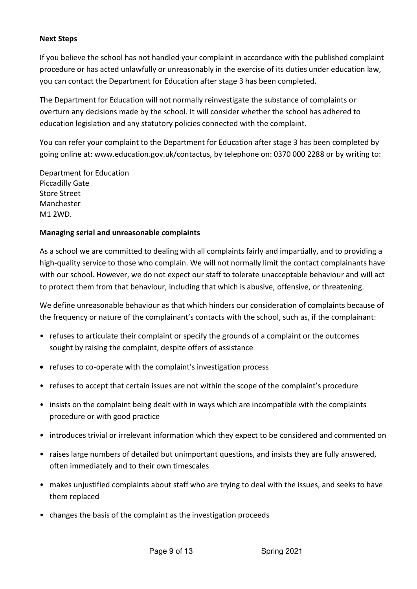#### **Next Steps**

If you believe the school has not handled your complaint in accordance with the published complaint procedure or has acted unlawfully or unreasonably in the exercise of its duties under education law, you can contact the Department for Education after stage 3 has been completed.

The Department for Education will not normally reinvestigate the substance of complaints or overturn any decisions made by the school. It will consider whether the school has adhered to education legislation and any statutory policies connected with the complaint.

You can refer your complaint to the Department for Education after stage 3 has been completed by going online at: www.education.gov.uk/contactus, by telephone on: 0370 000 2288 or by writing to:

Department for Education Piccadilly Gate Store Street Manchester M1 2WD.

#### **Managing serial and unreasonable complaints**

As a school we are committed to dealing with all complaints fairly and impartially, and to providing a high-quality service to those who complain. We will not normally limit the contact complainants have with our school. However, we do not expect our staff to tolerate unacceptable behaviour and will act to protect them from that behaviour, including that which is abusive, offensive, or threatening.

We define unreasonable behaviour as that which hinders our consideration of complaints because of the frequency or nature of the complainant's contacts with the school, such as, if the complainant:

- refuses to articulate their complaint or specify the grounds of a complaint or the outcomes sought by raising the complaint, despite offers of assistance
- refuses to co-operate with the complaint's investigation process
- refuses to accept that certain issues are not within the scope of the complaint's procedure
- insists on the complaint being dealt with in ways which are incompatible with the complaints procedure or with good practice
- introduces trivial or irrelevant information which they expect to be considered and commented on
- raises large numbers of detailed but unimportant questions, and insists they are fully answered, often immediately and to their own timescales
- makes unjustified complaints about staff who are trying to deal with the issues, and seeks to have them replaced
- changes the basis of the complaint as the investigation proceeds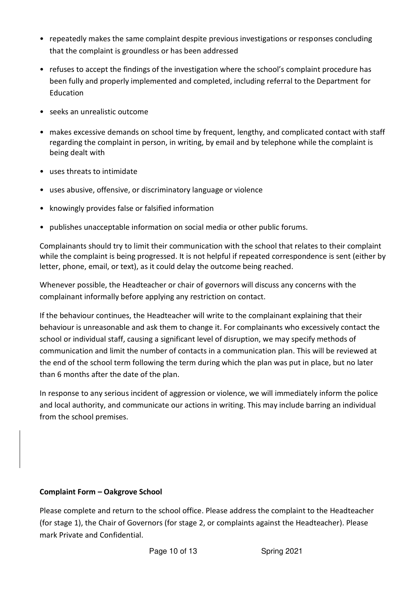- repeatedly makes the same complaint despite previous investigations or responses concluding that the complaint is groundless or has been addressed
- refuses to accept the findings of the investigation where the school's complaint procedure has been fully and properly implemented and completed, including referral to the Department for Education
- seeks an unrealistic outcome
- makes excessive demands on school time by frequent, lengthy, and complicated contact with staff regarding the complaint in person, in writing, by email and by telephone while the complaint is being dealt with
- uses threats to intimidate
- uses abusive, offensive, or discriminatory language or violence
- knowingly provides false or falsified information
- publishes unacceptable information on social media or other public forums.

Complainants should try to limit their communication with the school that relates to their complaint while the complaint is being progressed. It is not helpful if repeated correspondence is sent (either by letter, phone, email, or text), as it could delay the outcome being reached.

Whenever possible, the Headteacher or chair of governors will discuss any concerns with the complainant informally before applying any restriction on contact.

If the behaviour continues, the Headteacher will write to the complainant explaining that their behaviour is unreasonable and ask them to change it. For complainants who excessively contact the school or individual staff, causing a significant level of disruption, we may specify methods of communication and limit the number of contacts in a communication plan. This will be reviewed at the end of the school term following the term during which the plan was put in place, but no later than 6 months after the date of the plan.

In response to any serious incident of aggression or violence, we will immediately inform the police and local authority, and communicate our actions in writing. This may include barring an individual from the school premises.

## **Complaint Form – Oakgrove School**

Please complete and return to the school office. Please address the complaint to the Headteacher (for stage 1), the Chair of Governors (for stage 2, or complaints against the Headteacher). Please mark Private and Confidential.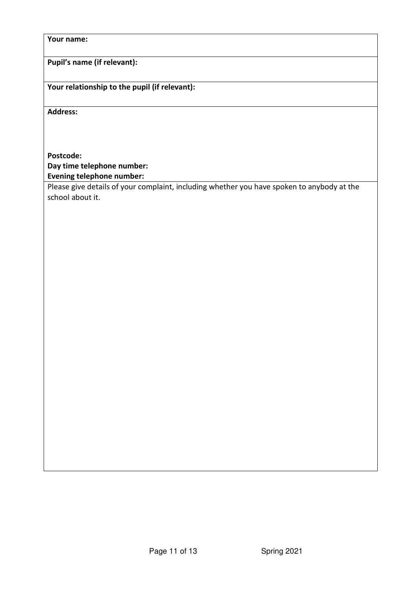#### **Your name:**

**Pupil's name (if relevant):** 

**Your relationship to the pupil (if relevant):** 

**Address:** 

## **Postcode: Day time telephone number: Evening telephone number:**

Please give details of your complaint, including whether you have spoken to anybody at the school about it.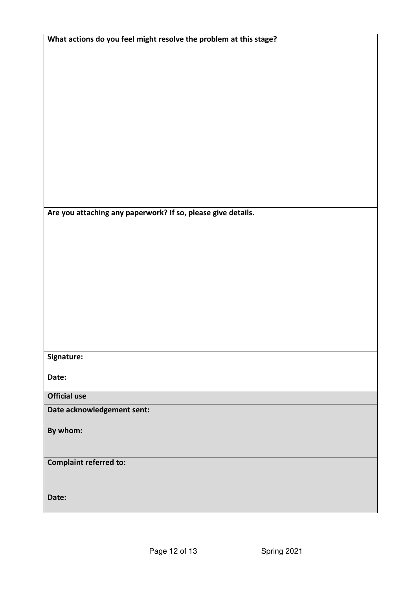| What actions do you feel might resolve the problem at this stage? |  |  |
|-------------------------------------------------------------------|--|--|
|                                                                   |  |  |
|                                                                   |  |  |
|                                                                   |  |  |
|                                                                   |  |  |
|                                                                   |  |  |
|                                                                   |  |  |
|                                                                   |  |  |
|                                                                   |  |  |
|                                                                   |  |  |
|                                                                   |  |  |
|                                                                   |  |  |
|                                                                   |  |  |
|                                                                   |  |  |
|                                                                   |  |  |
|                                                                   |  |  |
| Are you attaching any paperwork? If so, please give details.      |  |  |
|                                                                   |  |  |
|                                                                   |  |  |
|                                                                   |  |  |
|                                                                   |  |  |
|                                                                   |  |  |
|                                                                   |  |  |
|                                                                   |  |  |
|                                                                   |  |  |
|                                                                   |  |  |
|                                                                   |  |  |
|                                                                   |  |  |
|                                                                   |  |  |
|                                                                   |  |  |
| Signature:                                                        |  |  |
|                                                                   |  |  |
| Date:                                                             |  |  |
| <b>Official use</b>                                               |  |  |
|                                                                   |  |  |
| Date acknowledgement sent:                                        |  |  |
|                                                                   |  |  |
| By whom:                                                          |  |  |
|                                                                   |  |  |
|                                                                   |  |  |
| <b>Complaint referred to:</b>                                     |  |  |
|                                                                   |  |  |
|                                                                   |  |  |
| Date:                                                             |  |  |
|                                                                   |  |  |